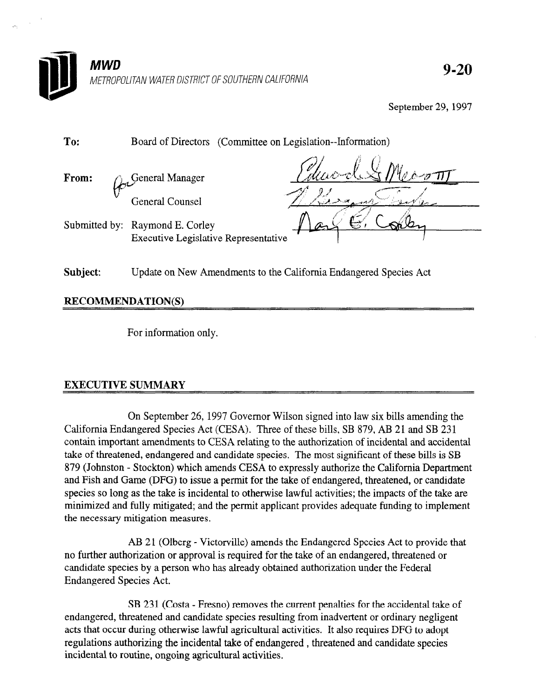

9-20

September 29, 1997

| To:   | Board of Directors (Committee on Legislation--Information)                     |         |
|-------|--------------------------------------------------------------------------------|---------|
| From: | <b>General Manager</b>                                                         | Palmore |
|       | <b>General Counsel</b>                                                         |         |
|       | Submitted by: Raymond E. Corley<br><b>Executive Legislative Representative</b> |         |
|       |                                                                                |         |

Subject: Update on New Amendments to the California Endangered Species Act

RECOMMENDATION(S)

For information only.

## EXECUTIVE SUMMARY

On September 26, 1997 Governor Wilson signed into law six bills amending the California Endangered Species Act (CESA). The seperature act (CESA). The seperature of the separature of the s California Endangered Species Act (CESA). Three of these bills, SB 879, AB 21 and SB 231 contain important amendments to CESA relating to the authorization of incidental and accidental take of threatened, endangered and candidate species. The most significant of these bills is SB 879 (Johnston - Stockton) which amends CESA to expressly authorize the California Department and Fish and Game (DFG) to issue a permit for the take of endangered, threatened, or candidate species so long as the take is incidental to otherwise lawful activities; the impacts of the take are minimized and fully mitigated; and the permit applicant provides adequate funding to implement the necessary mitigation measures.

AB 21 (Olberg - Victorville) amends the Endangered Species Act to provide that no further authorization or approval is required for the take of an endangered, threatened or candidate species by a person who has already obtained authorization under the Federal **Endangered Species Act.** 

SB 231 (Costa - Fresno) removes the current penalties for the accidental take of endangered, threatened and candidate species resulting from inadvertent or ordinary negligent acts that occur during otherwise lawful agricultural activities. It also requires DFG to adopt regulations authorizing the incidental take of endangered, threatened and candidate species incidental to routine, ongoing agricultural activities.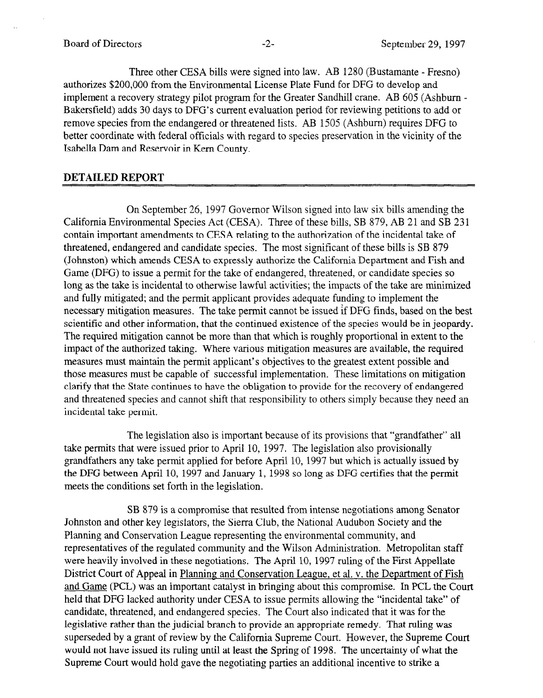Three other CESA bills were signed into law. AB 1280 (Bustamante - Fresno) authorizes \$200,000 from the Environmental License Plate Fund for DFG to develop and implement a recovery strategy pilot program for the Greater Sandhill crane. AB 605 (Ashburn - Bakersfield) adds 30 days to DFG's current evaluation period for reviewing petitions to add or remove species from the endangered or threatened lists. AB 1505 (Ashbum) requires DFG to better coordinate with federal officials with regard to species preservation in the vicinity of the Isabella Dam and Reservoir in Kern County.

## DETAILED REPORT

On September 26, 1997 Governor Wilson signed into law six bills amending the California Environmental Species Act (CESA). Three of these bills, SB 879, AB 21 and SB 231 contain important amendments to CESA relating to the authorization of the incidental take of threatened, endangered and candidate species. The most significant of these bills is SB 879 (Johnston) which amends CESA to expressly authorize the California Department and Fish and Game (DFG) to issue a permit for the take of endangered, threatened, or candidate species so long as the take is incidental to otherwise lawful activities; the impacts of the take are minimized and fully mitigated; and the permit applicant provides adequate funding to implement the necessary mitigation measures. The take permit cannot be issued if DFG finds, based on the best scientific and other information, that the continued existence of the species would be in jeopardy. The required mitigation cannot be more than that which is roughly proportional in extent to the inc required imagement cannot be more man that which is roughly proportional in catch to the mipact of the authorized taking. Where various integration measures are available, the required measures must maintain the permit applicant's objectives to the greatest extent possible and those measures must be capable of successful implementation. These limitations on mitigation clarify that the State continues to have the obligation to provide for the recovery of endangered and threatened species and cannot shift that responsibility to others simply because they need an incidental take permit.

the legislation also is important because of its provisions that grand a take permits that were issued prior to April 10, 1997. The legislation also provisionally grandfathers any take permit applied for before April 10, 1997 but which is actually issued by the DFG between April 10, 1997 and January 1, 1998 so long as DFG certifies that the permit meets the conditions set forth in the legislation.

SB 879 is a compromise that resulted from intense negotiations among Senator Johnston and other key legislators, the Sierra Club, the National Audubon Society and the Planning and Conservation League representing the environmental community, and representatives of the regulated community and the Wilson Administration. Metropolitan staff were heavily involved in these negotiations. The April 10, 1997 ruling of the First Appellate District Court of Appeal in Planning and Conservation League, et al. y. the Department of Fish and Game (PCL) was an important catalyst in bringing about this compromise. In PCL the Court held that DFG lacked authority under CESA to issue permits allowing the "incidental take" of candidate, threatened, and endangered species. The Court also indicated that it was for the legislative rather than the judicial branch to provide an appropriate remedy. That ruling was superseded by a grant of review by the California Supreme Court. However, the Supreme Court would not have issued its ruling until at least the Spring of 1998. The uncertainty of what the Supreme Court would hold gave the negotiating parties an additional incentive to strike a